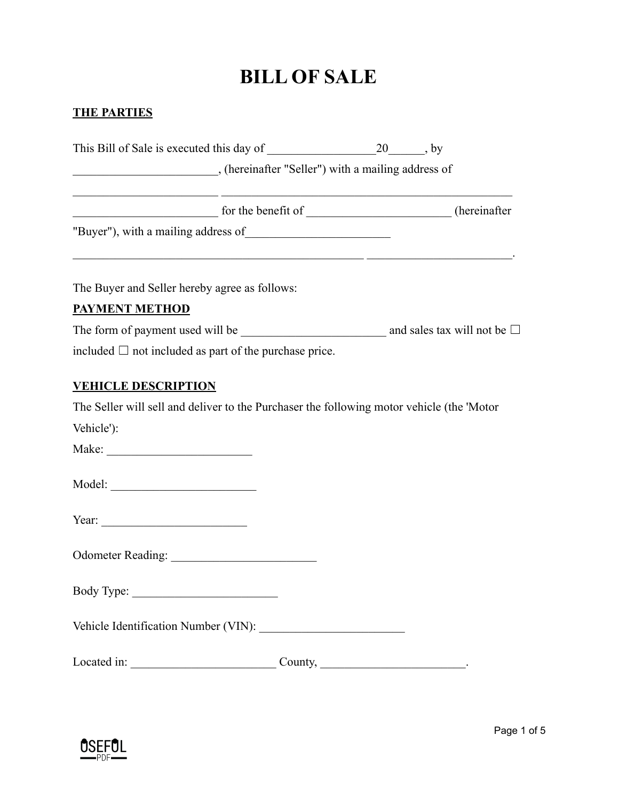## **BILL OF SALE**

## **THE PARTIES**

|                                                                                                                                                                                                                                                                                        | for the benefit of _____________________(hereinafter                                                                   |
|----------------------------------------------------------------------------------------------------------------------------------------------------------------------------------------------------------------------------------------------------------------------------------------|------------------------------------------------------------------------------------------------------------------------|
|                                                                                                                                                                                                                                                                                        | <u> 1989 - Johann Stoff, deutscher Stoffen und der Stoffen und der Stoffen und der Stoffen und der Stoffen und der</u> |
| The Buyer and Seller hereby agree as follows:                                                                                                                                                                                                                                          |                                                                                                                        |
| <b>PAYMENT METHOD</b>                                                                                                                                                                                                                                                                  |                                                                                                                        |
|                                                                                                                                                                                                                                                                                        | The form of payment used will be $\qquad \qquad$ and sales tax will not be $\Box$                                      |
| included $\Box$ not included as part of the purchase price.                                                                                                                                                                                                                            |                                                                                                                        |
| <b>VEHICLE DESCRIPTION</b><br>Vehicle'):                                                                                                                                                                                                                                               | The Seller will sell and deliver to the Purchaser the following motor vehicle (the 'Motor                              |
| Year: $\frac{1}{2}$ Year: $\frac{1}{2}$ Year: $\frac{1}{2}$ Year: $\frac{1}{2}$ Year: $\frac{1}{2}$ Year: $\frac{1}{2}$ Year: $\frac{1}{2}$ Year: $\frac{1}{2}$ Year: $\frac{1}{2}$ Year: $\frac{1}{2}$ Year: $\frac{1}{2}$ Year: $\frac{1}{2}$ Year: $\frac{1}{2}$ Year: $\frac{1}{2$ |                                                                                                                        |
|                                                                                                                                                                                                                                                                                        |                                                                                                                        |
| Body Type:                                                                                                                                                                                                                                                                             |                                                                                                                        |
|                                                                                                                                                                                                                                                                                        |                                                                                                                        |
|                                                                                                                                                                                                                                                                                        |                                                                                                                        |
|                                                                                                                                                                                                                                                                                        |                                                                                                                        |

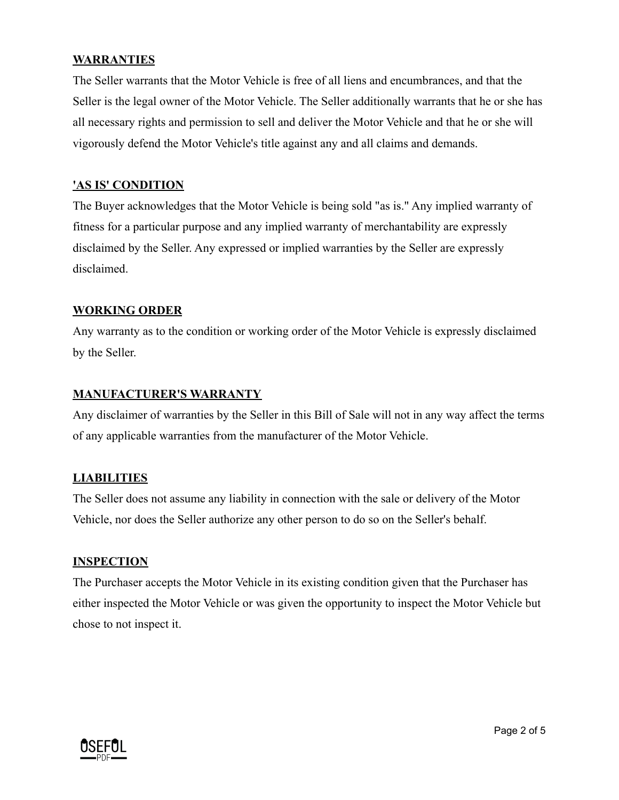#### **WARRANTIES**

The Seller warrants that the Motor Vehicle is free of all liens and encumbrances, and that the Seller is the legal owner of the Motor Vehicle. The Seller additionally warrants that he or she has all necessary rights and permission to sell and deliver the Motor Vehicle and that he or she will vigorously defend the Motor Vehicle's title against any and all claims and demands.

#### **'AS IS' CONDITION**

The Buyer acknowledges that the Motor Vehicle is being sold "as is." Any implied warranty of fitness for a particular purpose and any implied warranty of merchantability are expressly disclaimed by the Seller. Any expressed or implied warranties by the Seller are expressly disclaimed.

#### **WORKING ORDER**

Any warranty as to the condition or working order of the Motor Vehicle is expressly disclaimed by the Seller.

#### **MANUFACTURER'S WARRANTY**

Any disclaimer of warranties by the Seller in this Bill of Sale will not in any way affect the terms of any applicable warranties from the manufacturer of the Motor Vehicle.

#### **LIABILITIES**

The Seller does not assume any liability in connection with the sale or delivery of the Motor Vehicle, nor does the Seller authorize any other person to do so on the Seller's behalf.

#### **INSPECTION**

The Purchaser accepts the Motor Vehicle in its existing condition given that the Purchaser has either inspected the Motor Vehicle or was given the opportunity to inspect the Motor Vehicle but chose to not inspect it.

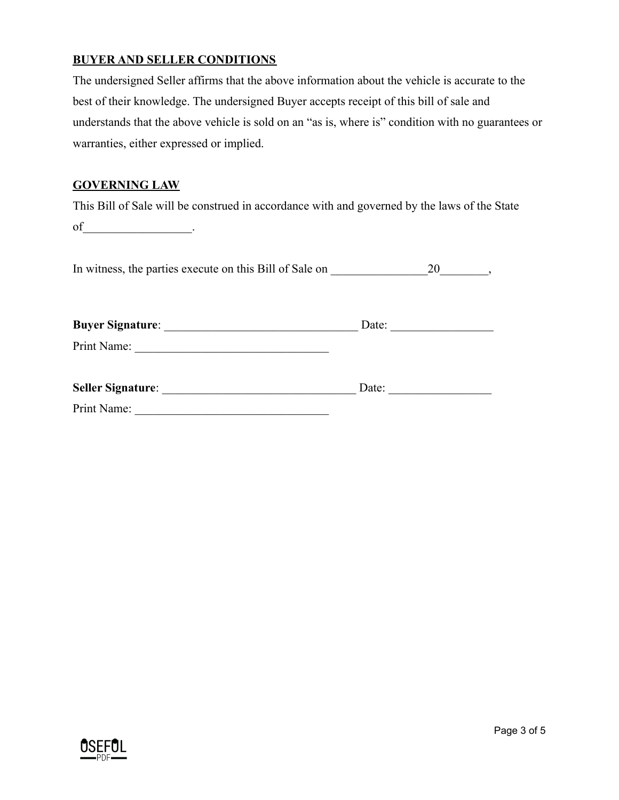### **BUYER AND SELLER CONDITIONS**

The undersigned Seller affirms that the above information about the vehicle is accurate to the best of their knowledge. The undersigned Buyer accepts receipt of this bill of sale and understands that the above vehicle is sold on an "as is, where is" condition with no guarantees or warranties, either expressed or implied.

### **GOVERNING LAW**

This Bill of Sale will be construed in accordance with and governed by the laws of the State of \_\_\_\_\_\_\_\_\_\_\_\_\_\_\_\_\_.

In witness, the parties execute on this Bill of Sale on \_\_\_\_\_\_\_\_\_\_\_\_\_\_\_\_20\_\_\_\_\_\_\_\_,

| <b>Buyer Signature:</b>  | Date: |  |
|--------------------------|-------|--|
| Print Name:              |       |  |
| <b>Seller Signature:</b> | Date: |  |
| Print Name:              |       |  |

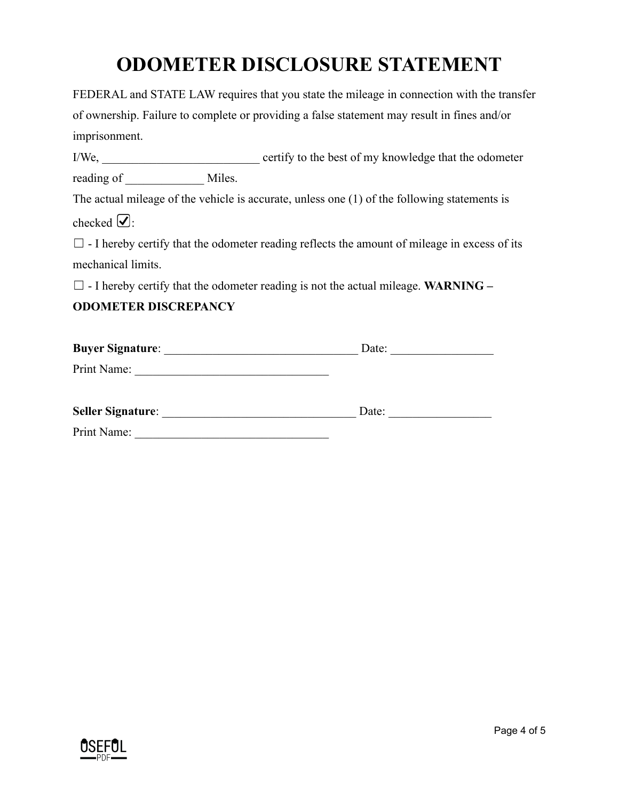# **ODOMETER DISCLOSURE STATEMENT**

FEDERAL and STATE LAW requires that you state the mileage in connection with the transfer of ownership. Failure to complete or providing a false statement may result in fines and/or imprisonment.

I/We, \_\_\_\_\_\_\_\_\_\_\_\_\_\_\_\_\_\_\_\_\_\_\_\_\_\_ certify to the best of my knowledge that the odometer reading of Miles.

The actual mileage of the vehicle is accurate, unless one (1) of the following statements is checked  $\mathcal{Q}$ :

 $\Box$  - I hereby certify that the odometer reading reflects the amount of mileage in excess of its mechanical limits.

☐ - I hereby certify that the odometer reading is not the actual mileage. **WARNING –**

## **ODOMETER DISCREPANCY**

| <b>Buyer Signature:</b>  | Date: |
|--------------------------|-------|
| Print Name:              |       |
| <b>Seller Signature:</b> | Date: |
| Print Name:              |       |